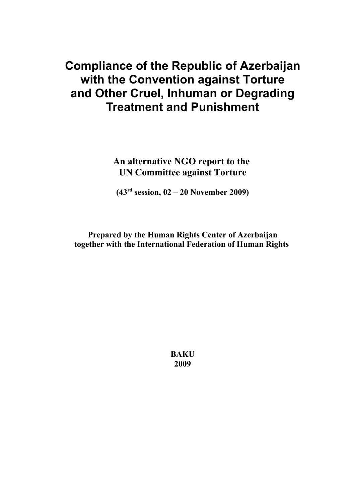# **Compliance of the Republic of Azerbaijan with the Convention against Torture and Other Cruel, Inhuman or Degrading Treatment and Punishment**

**An alternative NGO report to the UN Committee against Torture**

**(43rd session, 02 – 20 November 2009)**

**Prepared by the Human Rights Center of Azerbaijan together with the International Federation of Human Rights** 

> **BAKU 2009**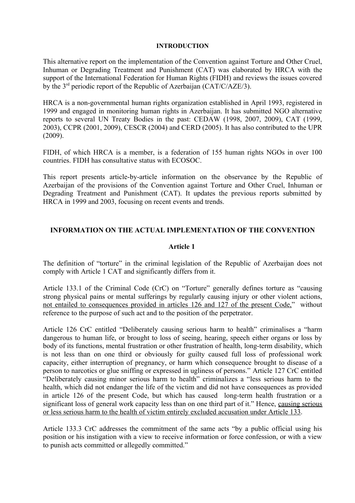#### **INTRODUCTION**

This alternative report on the implementation of the Convention against Torture and Other Cruel, Inhuman or Degrading Treatment and Punishment (CAT) was elaborated by HRCA with the support of the International Federation for Human Rights (FIDH) and reviews the issues covered by the 3<sup>rd</sup> periodic report of the Republic of Azerbaijan (CAT/C/AZE/3).

HRCA is a non-governmental human rights organization established in April 1993, registered in 1999 and engaged in monitoring human rights in Azerbaijan. It has submitted NGO alternative reports to several UN Treaty Bodies in the past: CEDAW (1998, 2007, 2009), CAT (1999, 2003), CCPR (2001, 2009), CESCR (2004) and CERD (2005). It has also contributed to the UPR (2009).

FIDH, of which HRCA is a member, is a federation of 155 human rights NGOs in over 100 countries. FIDH has consultative status with ECOSOC.

This report presents article-by-article information on the observance by the Republic of Azerbaijan of the provisions of the Convention against Torture and Other Cruel, Inhuman or Degrading Treatment and Punishment (CAT). It updates the previous reports submitted by HRCA in 1999 and 2003, focusing on recent events and trends.

# **INFORMATION ON THE ACTUAL IMPLEMENTATION OF THE CONVENTION**

#### **Article 1**

The definition of "torture" in the criminal legislation of the Republic of Azerbaijan does not comply with Article 1 CAT and significantly differs from it.

Article 133.1 of the Criminal Code (CrC) on "Torture" generally defines torture as "causing strong physical pains or mental sufferings by regularly causing injury or other violent actions, not entailed to consequences provided in articles 126 and 127 of the present Code," without reference to the purpose of such act and to the position of the perpetrator.

Article 126 CrC entitled "Deliberately causing serious harm to health" criminalises a "harm dangerous to human life, or brought to loss of seeing, hearing, speech either organs or loss by body of its functions, mental frustration or other frustration of health, long-term disability, which is not less than on one third or obviously for guilty caused full loss of professional work capacity, either interruption of pregnancy, or harm which consequence brought to disease of a person to narcotics or glue sniffing or expressed in ugliness of persons." Article 127 CrC entitled "Deliberately causing minor serious harm to health" criminalizes a "less serious harm to the health, which did not endanger the life of the victim and did not have consequences as provided in article 126 of the present Code, but which has caused long-term health frustration or a significant loss of general work capacity less than on one third part of it." Hence, causing serious or less serious harm to the health of victim entirely excluded accusation under Article 133.

Article 133.3 CrC addresses the commitment of the same acts "by a public official using his position or his instigation with a view to receive information or force confession, or with a view to punish acts committed or allegedly committed."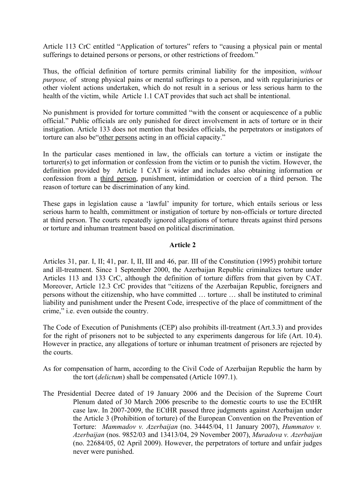Article 113 CrC entitled "Application of tortures" refers to "causing a physical pain or mental sufferings to detained persons or persons, or other restrictions of freedom."

Thus, the official definition of torture permits criminal liability for the imposition, *without purpose,* of strong physical pains or mental sufferings to a person, and with regularinjuries or other violent actions undertaken, which do not result in a serious or less serious harm to the health of the victim, while Article 1.1 CAT provides that such act shall be intentional.

No punishment is provided for torture committed "with the consent or acquiescence of a public official." Public officials are only punished for direct involvement in acts of torture or in their instigation. Article 133 does not mention that besides officials, the perpetrators or instigators of torture can also be "other persons acting in an official capacity."

In the particular cases mentioned in law, the officials can torture a victim or instigate the torturer(s) to get information or confession from the victim or to punish the victim. However, the definition provided by Article 1 CAT is wider and includes also obtaining information or confession from a third person, punishment, intimidation or coercion of a third person. The reason of torture can be discrimination of any kind.

These gaps in legislation cause a 'lawful' impunity for torture, which entails serious or less serious harm to health, committment or instigation of torture by non-officials or torture directed at third person. The courts repeatedly ignored allegations of torture threats against third persons or torture and inhuman treatment based on political discrimination.

# **Article 2**

Articles 31, par. I, II; 41, par. I, II, III and 46, par. III of the Constitution (1995) prohibit torture and ill-treatment. Since 1 September 2000, the Azerbaijan Republic criminalizes torture under Articles 113 and 133 CrC, although the definition of torture differs from that given by CAT. Moreover, Article 12.3 CrC provides that "citizens of the Azerbaijan Republic, foreigners and persons without the citizenship, who have committed … torture … shall be instituted to criminal liability and punishment under the Present Code, irrespective of the place of committment of the crime," i.e. even outside the country.

The Code of Execution of Punishments (CEP) also prohibits ill-treatment (Art.3.3) and provides for the right of prisoners not to be subjected to any experiments dangerous for life (Art. 10.4). However in practice, any allegations of torture or inhuman treatment of prisoners are rejected by the courts.

- As for compensation of harm, according to the Civil Code of Azerbaijan Republic the harm by the tort (*delictum*) shall be compensated (Article 1097.1).
- The Presidential Decree dated of 19 January 2006 and the Decision of the Supreme Court Plenum dated of 30 March 2006 prescribe to the domestic courts to use the ECtHR case law. In 2007-2009, the ECtHR passed three judgments against Azerbaijan under the Article 3 (Prohibition of torture) of the European Convention on the Prevention of Torture: *Mammadov v. Azerbaijan* (no. 34445/04, 11 January 2007), *Hummatov v. Azerbaijan* (nos. 9852/03 and 13413/04, 29 November 2007), *Muradova v. Azerbaijan* (no. 22684/05, 02 April 2009). However, the perpetrators of torture and unfair judges never were punished.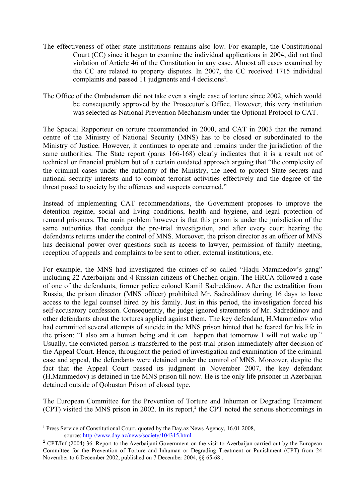- The effectiveness of other state institutions remains also low. For example, the Constitutional Court (CC) since it began to examine the individual applications in 2004, did not find violation of Article 46 of the Constitution in any case. Almost all cases examined by the CC are related to property disputes. In 2007, the CC received 1715 individual complaints and passed 11 judgments and 4 decisions**[1](#page-3-0)** .
- The Office of the Ombudsman did not take even a single case of torture since 2002, which would be consequently approved by the Prosecutor's Office. However, this very institution was selected as National Prevention Mechanism under the Optional Protocol to CAT.

The Special Rapporteur on torture recommended in 2000, and CAT in 2003 that the remand centre of the Ministry of National Security (MNS) has to be closed or subordinated to the Ministry of Justice. However, it continues to operate and remains under the jurisdiction of the same authorities. The State report (paras 166-168) clearly indicates that it is a result not of technical or financial problem but of a certain outdated approach arguing that "the complexity of the criminal cases under the authority of the Ministry, the need to protect State secrets and national security interests and to combat terrorist activities effectively and the degree of the threat posed to society by the offences and suspects concerned."

Instead of implementing CAT recommendations, the Government proposes to improve the detention regime, social and living conditions, health and hygiene, and legal protection of remand prisoners. The main problem however is that this prison is under the jurisdiction of the same authorities that conduct the pre-trial investigation, and after every court hearing the defendants returns under the control of MNS. Moreover, the prison director as an officer of MNS has decisional power over questions such as access to lawyer, permission of family meeting, reception of appeals and complaints to be sent to other, external institutions, etc.

For example, the MNS had investigated the crimes of so called "Hadji Mammedov's gang" including 22 Azerbaijani and 4 Russian citizens of Chechen origin. The HRCA followed a case of one of the defendants, former police colonel Kamil Sadreddinov. After the extradition from Russia, the prison director (MNS officer) prohibited Mr. Sadreddinov during 16 days to have access to the legal counsel hired by his family. Just in this period, the investigation forced his self-accusatory confession. Consequently, the judge ignored statements of Mr. Sadreddinov and other defendants about the tortures applied against them. The key defendant, H.Mammedov who had committed several attempts of suicide in the MNS prison hinted that he feared for his life in the prison: "I also am a human being and it can happen that tomorrow I will not wake up." Usually, the convicted person is transferred to the post-trial prison immediately after decision of the Appeal Court. Hence, throughout the period of investigation and examination of the criminal case and appeal, the defendants were detained under the control of MNS. Moreover, despite the fact that the Appeal Court passed its judgment in November 2007, the key defendant (H.Mammedov) is detained in the MNS prison till now. He is the only life prisoner in Azerbaijan detained outside of Qobustan Prison of closed type.

The European Committee for the Prevention of Torture and Inhuman or Degrading Treatment  $(CPT)$  visited the MNS prison in [2](#page-3-1)002. In its report,<sup>2</sup> the CPT noted the serious shortcomings in

<span id="page-3-0"></span><sup>&</sup>lt;sup>1</sup> Press Service of Constitutional Court, quoted by the Day.az News Agency, 16.01.2008, source:<http://www.day.az/news/society/104315.html>

<span id="page-3-1"></span><sup>&</sup>lt;sup>2</sup> CPT/Inf (2004) 36. Report to the Azerbaijani Government on the visit to Azerbaijan carried out by the European Committee for the Prevention of Torture and Inhuman or Degrading Treatment or Punishment (CPT) from 24 November to 6 December 2002, published on 7 December 2004, §§ 65-68 .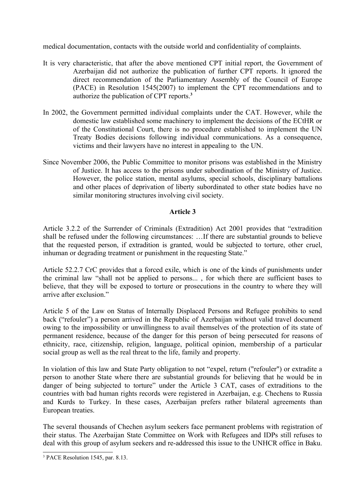medical documentation, contacts with the outside world and confidentiality of complaints.

- It is very characteristic, that after the above mentioned CPT initial report, the Government of Azerbaijan did not authorize the publication of further CPT reports. It ignored the direct recommendation of the Parliamentary Assembly of the Council of Europe (PACE) in Resolution 1545(2007) to implement the CPT recommendations and to authorize the publication of CPT reports.**[3](#page-4-0)**
- In 2002, the Government permitted individual complaints under the CAT. However, while the domestic law established some machinery to implement the decisions of the ECtHR or of the Constitutional Court, there is no procedure established to implement the UN Treaty Bodies decisions following individual communications. As a consequence, victims and their lawyers have no interest in appealing to the UN.
- Since November 2006, the Public Committee to monitor prisons was established in the Ministry of Justice. It has access to the prisons under subordination of the Ministry of Justice. However, the police station, mental asylums, special schools, disciplinary battalions and other places of deprivation of liberty subordinated to other state bodies have no similar monitoring structures involving civil society.

# **Article 3**

Article 3.2.2 of the Surrender of Criminals (Extradition) Act 2001 provides that "extradition shall be refused under the following circumstances: …If there are substantial grounds to believe that the requested person, if extradition is granted, would be subjected to torture, other cruel, inhuman or degrading treatment or punishment in the requesting State."

Article 52.2.7 CrC provides that a forced exile, which is one of the kinds of punishments under the criminal law "shall not be applied to persons... , for which there are sufficient bases to believe, that they will be exposed to torture or prosecutions in the country to where they will arrive after exclusion."

Article 5 of the Law on Status of Internally Displaced Persons and Refugee prohibits to send back ("refouler") a person arrived in the Republic of Azerbaijan without valid travel document owing to the impossibility or unwillingness to avail themselves of the protection of its state of permanent residence, because of the danger for this person of being persecuted for reasons of ethnicity, race, citizenship, religion, language, political opinion, membership of a particular social group as well as the real threat to the life, family and property.

In violation of this law and State Party obligation to not "expel, return ("refouler") or extradite a person to another State where there are substantial grounds for believing that he would be in danger of being subjected to torture" under the Article 3 CAT, cases of extraditions to the countries with bad human rights records were registered in Azerbaijan, e.g. Chechens to Russia and Kurds to Turkey. In these cases, Azerbaijan prefers rather bilateral agreements than European treaties.

The several thousands of Chechen asylum seekers face permanent problems with registration of their status. The Azerbaijan State Committee on Work with Refugees and IDPs still refuses to deal with this group of asylum seekers and re-addressed this issue to the UNHCR office in Baku.

<span id="page-4-0"></span><sup>3</sup> PACE Resolution 1545, par. 8.13.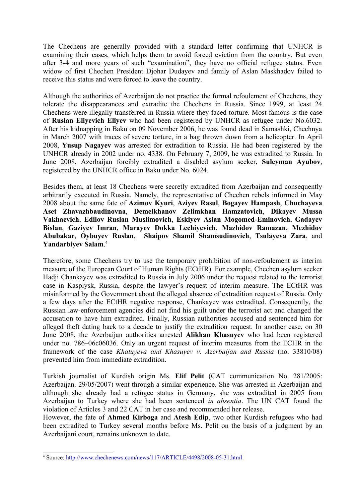The Chechens are generally provided with a standard letter confirming that UNHCR is examining their cases, which helps them to avoid forced eviction from the country. But even after 3-4 and more years of such "examination", they have no official refugee status. Even widow of first Chechen President Djohar Dudayev and family of Aslan Maskhadov failed to receive this status and were forced to leave the country.

Although the authorities of Azerbaijan do not practice the formal refoulement of Chechens, they tolerate the disappearances and extradite the Chechens in Russia. Since 1999, at least 24 Chechens were illegally transferred in Russia where they faced torture. Most famous is the case of **Ruslan Eliyevich Eliyev** who had been registered by UNHCR as refugee under No.6032. After his kidnapping in Baku on 09 November 2006, he was found dead in Samashki, Chechnya in March 2007 with traces of severe torture, in a bag thrown down from a helicopter. In April 2008, **Yusup Nagayev** was arrested for extradition to Russia. He had been registered by the UNHCR already in 2002 under no. 4338. On February 7, 2009, he was extradited to Russia. In June 2008, Azerbaijan forcibly extradited a disabled asylum seeker, **Suleyman Ayubov**, registered by the UNHCR office in Baku under No. 6024.

Besides them, at least 18 Chechens were secretly extradited from Azerbaijan and consequently arbitrarily executed in Russia. Namely, the representative of Chechen rebels informed in May 2008 about the same fate of **Azimov Kyuri**, **Aziyev Rasul**, **Bogayev Hampash**, **Chuchayeva Aset Zhavazhbaudinovna**, **Demelkhanov Zelimkhan Hamzatovich**, **Dikayev Mussa Vakhaevich**, **Edilov Ruslan Muslimovich**, **Eskiyev Aslan Mogomed-Eminovich**, **Gadayev Bislan**, **Gaziyev Imran**, **Marayev Dokka Lechiyevich**, **Mazhidov Ramazan**, **Mezhidov Abubakar**, **Oybuyev Ruslan**, **Shaipov Shamil Shamsudinovich**, **Tsulayeva Zara**, and **Yandarbiyev Salam**. [4](#page-5-0)

Therefore, some Chechens try to use the temporary prohibition of non-refoulement as interim measure of the European Court of Human Rights (ECtHR). For example, Chechen asylum seeker Hadji Chankayev was extradited to Russia in July 2006 under the request related to the terrorist case in Kaspiysk, Russia, despite the lawyer's request of interim measure. The ECtHR was misinformed by the Government about the alleged absence of extradition request of Russia. Only a few days after the ECtHR negative response, Chankayev was extradited. Consequently, the Russian law-enforcement agencies did not find his guilt under the terrorist act and changed the accusation to have him extradited. Finally, Russian authorities accused and sentenced him for alleged theft dating back to a decade to justify the extradition request. In another case, on 30 June 2008, the Azerbaijan authorities arrested **Alikhan Khasuyev** who had been registered under no. 786–06c06036. Only an urgent request of interim measures from the ECHR in the framework of the case *Khatuyeva and Khasuyev v. Azerbaijan and Russia* (no. 33810/08) prevented him from immediate extradition.

Turkish journalist of Kurdish origin Ms. **Elif Pelit** (CAT communication No. 281/2005: Azerbaijan. 29/05/2007) went through a similar experience. She was arrested in Azerbaijan and although she already had a refugee status in Germany, she was extradited in 2005 from Azerbaijan to Turkey where she had been sentenced *in absentia*. The UN CAT found the violation of Articles 3 and 22 CAT in her case and recommended her release.

However, the fate of **Ahmed Kirboga** and **Atesh Edip**, two other Kurdish refugees who had been extradited to Turkey several months before Ms. Pelit on the basis of a judgment by an Azerbaijani court, remains unknown to date.

<span id="page-5-0"></span><sup>&</sup>lt;sup>4</sup> Source:<http://www.chechenews.com/news/117/ARTICLE/4498/2008-05-31.html>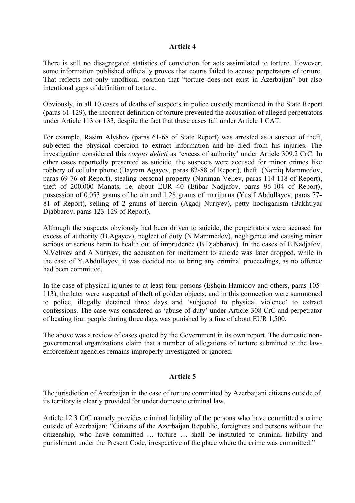#### **Article 4**

There is still no disagregated statistics of conviction for acts assimilated to torture. However, some information published officially proves that courts failed to accuse perpetrators of torture. That reflects not only unofficial position that "torture does not exist in Azerbaijan" but also intentional gaps of definition of torture.

Obviously, in all 10 cases of deaths of suspects in police custody mentioned in the State Report (paras 61-129), the incorrect definition of torture prevented the accusation of alleged perpetrators under Article 113 or 133, despite the fact that these cases fall under Article 1 CAT.

For example, Rasim Alyshov (paras 61-68 of State Report) was arrested as a suspect of theft, subjected the physical coercion to extract information and he died from his injuries. The investigation considered this *corpus delicti* as 'excess of authority' under Article 309.2 CrC. In other cases reportedly presented as suicide, the suspects were accused for minor crimes like robbery of cellular phone (Bayram Agayev, paras 82-88 of Report), theft (Namiq Mammedov, paras 69-76 of Report), stealing personal property (Nariman Veliev, paras 114-118 of Report), theft of 200,000 Manats, i.e. about EUR 40 (Etibar Nadjafov, paras 96-104 of Report), possession of 0.053 grams of heroin and 1.28 grams of marijuana (Yusif Abdullayev, paras 77- 81 of Report), selling of 2 grams of heroin (Agadj Nuriyev), petty hooliganism (Bakhtiyar Djabbarov, paras 123-129 of Report).

Although the suspects obviously had been driven to suicide, the perpetrators were accused for excess of authority (B.Agayev), neglect of duty (N.Mammedov), negligence and causing minor serious or serious harm to health out of imprudence (B.Djabbarov). In the cases of E.Nadjafov, N.Veliyev and A.Nuriyev, the accusation for incitement to suicide was later dropped, while in the case of Y.Abdullayev, it was decided not to bring any criminal proceedings, as no offence had been committed.

In the case of physical injuries to at least four persons (Eshqin Hamidov and others, paras 105- 113), the later were suspected of theft of golden objects, and in this connection were summoned to police, illegally detained three days and 'subjected to physical violence' to extract confessions. The case was considered as 'abuse of duty' under Article 308 CrC and perpetrator of beating four people during three days was punished by a fine of about EUR 1,500.

The above was a review of cases quoted by the Government in its own report. The domestic nongovernmental organizations claim that a number of allegations of torture submitted to the lawenforcement agencies remains improperly investigated or ignored.

#### **Article 5**

The jurisdiction of Azerbaijan in the case of torture committed by Azerbaijani citizens outside of its territory is clearly provided for under domestic criminal law.

Article 12.3 CrC namely provides criminal liability of the persons who have committed a crime outside of Azerbaijan: "Citizens of the Azerbaijan Republic, foreigners and persons without the citizenship, who have committed … torture … shall be instituted to criminal liability and punishment under the Present Code, irrespective of the place where the crime was committed."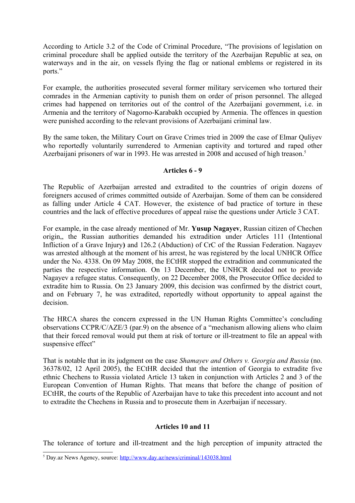According to Article 3.2 of the Code of Criminal Procedure, "The provisions of legislation on criminal procedure shall be applied outside the territory of the Azerbaijan Republic at sea, on waterways and in the air, on vessels flying the flag or national emblems or registered in its ports."

For example, the authorities prosecuted several former military servicemen who tortured their comrades in the Armenian captivity to punish them on order of prison personnel. The alleged crimes had happened on territories out of the control of the Azerbaijani government, i.e. in Armenia and the territory of Nagorno-Karabakh occupied by Armenia. The offences in question were punished according to the relevant provisions of Azerbaijani criminal law.

By the same token, the Military Court on Grave Crimes tried in 2009 the case of Elmar Quliyev who reportedly voluntarily surrendered to Armenian captivity and tortured and raped other Azerbaijani prisoners of war in 1993. He was arrested in 2008 and accused of high treason.<sup>[5](#page-7-0)</sup>

## **Articles 6 - 9**

The Republic of Azerbaijan arrested and extradited to the countries of origin dozens of foreigners accused of crimes committed outside of Azerbaijan. Some of them can be considered as falling under Article 4 CAT. However, the existence of bad practice of torture in these countries and the lack of effective procedures of appeal raise the questions under Article 3 CAT.

For example, in the case already mentioned of Mr. **Yusup Nagayev**, Russian citizen of Chechen origin,, the Russian authorities demanded his extradition under Articles 111 (Intentional Infliction of a Grave Injury**)** and 126.2 (Abduction) of CrC of the Russian Federation. Nagayev was arrested although at the moment of his arrest, he was registered by the local UNHCR Office under the No. 4338. On 09 May 2008, the ECtHR stopped the extradition and communicated the parties the respective information. On 13 December, the UNHCR decided not to provide Nagayev a refugee status. Consequently, on 22 December 2008, the Prosecutor Office decided to extradite him to Russia. On 23 January 2009, this decision was confirmed by the district court, and on February 7, he was extradited, reportedly without opportunity to appeal against the decision.

The HRCA shares the concern expressed in the UN Human Rights Committee's concluding observations CCPR/C/AZE/3 (par.9) on the absence of a "mechanism allowing aliens who claim that their forced removal would put them at risk of torture or ill-treatment to file an appeal with suspensive effect"

That is notable that in its judgment on the case *Shamayev and Others v. Georgia and Russia* (no. 36378/02, 12 April 2005), the ECtHR decided that the intention of Georgia to extradite five ethnic Chechens to Russia violated Article 13 taken in conjunction with Articles 2 and 3 of the European Convention of Human Rights. That means that before the change of position of ECtHR, the courts of the Republic of Azerbaijan have to take this precedent into account and not to extradite the Chechens in Russia and to prosecute them in Azerbaijan if necessary.

# **Articles 10 and 11**

The tolerance of torture and ill-treatment and the high perception of impunity attracted the

<span id="page-7-0"></span><sup>&</sup>lt;sup>5</sup> Day.az News Agency, source: <http://www.day.az/news/criminal/143038.html>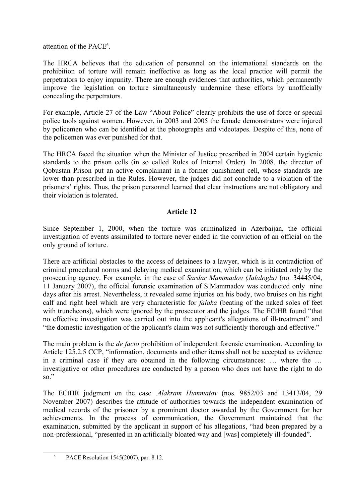attention of the PACE<sup>[6](#page-8-0)</sup>.

The HRCA believes that the education of personnel on the international standards on the prohibition of torture will remain ineffective as long as the local practice will permit the perpetrators to enjoy impunity. There are enough evidences that authorities, which permanently improve the legislation on torture simultaneously undermine these efforts by unofficially concealing the perpetrators.

For example, Article 27 of the Law "About Police" clearly prohibits the use of force or special police tools against women. However, in 2003 and 2005 the female demonstrators were injured by policemen who can be identified at the photographs and videotapes. Despite of this, none of the policemen was ever punished for that.

The HRCA faced the situation when the Minister of Justice prescribed in 2004 certain hygienic standards to the prison cells (in so called Rules of Internal Order). In 2008, the director of Qobustan Prison put an active complainant in a former punishment cell, whose standards are lower than prescribed in the Rules. However, the judges did not conclude to a violation of the prisoners' rights. Thus, the prison personnel learned that clear instructions are not obligatory and their violation is tolerated.

# **Article 12**

Since September 1, 2000, when the torture was criminalized in Azerbaijan, the official investigation of events assimilated to torture never ended in the conviction of an official on the only ground of torture.

There are artificial obstacles to the access of detainees to a lawyer, which is in contradiction of criminal procedural norms and delaying medical examination, which can be initiated only by the prosecuting agency. For example, in the case of *Sardar Mammadov (Jalaloglu)* (no. 34445/04, 11 January 2007), the official forensic examination of S.Mammadov was conducted only nine days after his arrest. Nevertheless, it revealed some injuries on his body, two bruises on his right calf and right heel which are very characteristic for *falaka* (beating of the naked soles of feet with truncheons), which were ignored by the prosecutor and the judges. The ECtHR found "that no effective investigation was carried out into the applicant's allegations of ill-treatment" and "the domestic investigation of the applicant's claim was not sufficiently thorough and effective."

The main problem is the *de facto* prohibition of independent forensic examination. According to Article 125.2.5 CCP, "information, documents and other items shall not be accepted as evidence in a criminal case if they are obtained in the following circumstances: … where the … investigative or other procedures are conducted by a person who does not have the right to do so."

The ECtHR judgment on the case .*Alakram Hummatov* (nos. 9852/03 and 13413/04, 29 November 2007) describes the attitude of authorities towards the independent examination of medical records of the prisoner by a prominent doctor awarded by the Government for her achievements. In the process of communication, the Government maintained that the examination, submitted by the applicant in support of his allegations, "had been prepared by a non-professional, "presented in an artificially bloated way and [was] completely ill-founded".

<span id="page-8-0"></span><sup>6</sup> PACE Resolution 1545(2007), par. 8.12.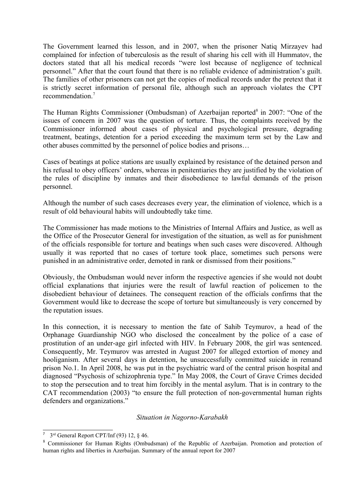The Government learned this lesson, and in 2007, when the prisoner Natiq Mirzayev had complained for infection of tuberculosis as the result of sharing his cell with ill Hummatov, the doctors stated that all his medical records "were lost because of negligence of technical personnel." After that the court found that there is no reliable evidence of administration's guilt. The families of other prisoners can not get the copies of medical records under the pretext that it is strictly secret information of personal file, although such an approach violates the CPT recommendation<sup>[7](#page-9-0)</sup>

The Human Rights Commissioner (Ombudsman) of Azerbaijan reported<sup>[8](#page-9-1)</sup> in 2007: "One of the issues of concern in 2007 was the question of torture. Thus, the complaints received by the Commissioner informed about cases of physical and psychological pressure, degrading treatment, beatings, detention for a period exceeding the maximum term set by the Law and other abuses committed by the personnel of police bodies and prisons…

Cases of beatings at police stations are usually explained by resistance of the detained person and his refusal to obey officers' orders, whereas in penitentiaries they are justified by the violation of the rules of discipline by inmates and their disobedience to lawful demands of the prison personnel.

Although the number of such cases decreases every year, the elimination of violence, which is a result of old behavioural habits will undoubtedly take time.

The Commissioner has made motions to the Ministries of Internal Affairs and Justice, as well as the Office of the Prosecutor General for investigation of the situation, as well as for punishment of the officials responsible for torture and beatings when such cases were discovered. Although usually it was reported that no cases of torture took place, sometimes such persons were punished in an administrative order, demoted in rank or dismissed from their positions."

Obviously, the Ombudsman would never inform the respective agencies if she would not doubt official explanations that injuries were the result of lawful reaction of policemen to the disobedient behaviour of detainees. The consequent reaction of the officials confirms that the Government would like to decrease the scope of torture but simultaneously is very concerned by the reputation issues.

In this connection, it is necessary to mention the fate of Sahib Teymurov, a head of the Orphanage Guardianship NGO who disclosed the concealment by the police of a case of prostitution of an under-age girl infected with HIV. In February 2008, the girl was sentenced. Consequently, Mr. Teymurov was arrested in August 2007 for alleged extortion of money and hooliganism. After several days in detention, he unsuccessfully committed suicide in remand prison No.1. In April 2008, he was put in the psychiatric ward of the central prison hospital and diagnosed "Psychosis of schizophrenia type." In May 2008, the Court of Grave Crimes decided to stop the persecution and to treat him forcibly in the mental asylum. That is in contrary to the CAT recommendation (2003) "to ensure the full protection of non-governmental human rights defenders and organizations."

#### *Situation in Nagorno-Karabakh*

<span id="page-9-0"></span><sup>7</sup> 3rd General Report CPT/Inf (93) 12, § 46.

<span id="page-9-1"></span><sup>8</sup> Commissioner for Human Rights (Ombudsman) of the Republic of Azerbaijan. Promotion and protection of human rights and liberties in Azerbaijan. Summary of the annual report for 2007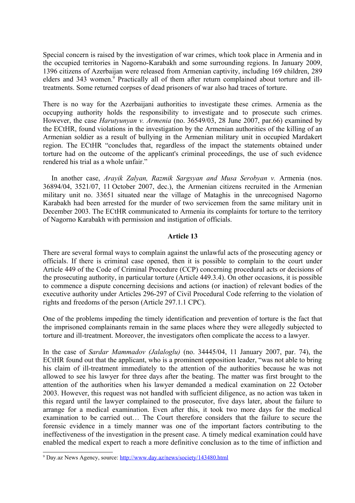Special concern is raised by the investigation of war crimes, which took place in Armenia and in the occupied territories in Nagorno-Karabakh and some surrounding regions. In January 2009, 1396 citizens of Azerbaijan were released from Armenian captivity, including 169 children, 289 elders and 343 women.<sup>[9](#page-10-0)</sup> Practically all of them after return complained about torture and illtreatments. Some returned corpses of dead prisoners of war also had traces of torture.

There is no way for the Azerbaijani authorities to investigate these crimes. Armenia as the occupying authority holds the responsibility to investigate and to prosecute such crimes. However, the case *Harutyunyan v. Armenia* (no. 36549/03, 28 June 2007, par.66) examined by the ECtHR, found violations in the investigation by the Armenian authorities of the killing of an Armenian soldier as a result of bullying in the Armenian military unit in occupied Mardakert region. The ECtHR "concludes that, regardless of the impact the statements obtained under torture had on the outcome of the applicant's criminal proceedings, the use of such evidence rendered his trial as a whole unfair."

In another case, *Arayik Zalyan, Razmik Sargsyan and Musa Serobyan v.* Armenia (nos. 36894/04, 3521/07, 11 October 2007, dec.), the Armenian citizens recruited in the Armenian military unit no. 33651 situated near the village of Mataghis in the unrecognised Nagorno Karabakh had been arrested for the murder of two servicemen from the same military unit in December 2003. The ECtHR communicated to Armenia its complaints for torture to the territory of Nagorno Karabakh with permission and instigation of officials.

#### **Article 13**

There are several formal ways to complain against the unlawful acts of the prosecuting agency or officials. If there is criminal case opened, then it is possible to complain to the court under Article 449 of the Code of Criminal Procedure (CCP) concerning procedural acts or decisions of the prosecuting authority, in particular torture (Article 449.3.4). On other occasions, it is possible to commence a dispute concerning decisions and actions (or inaction) of relevant bodies of the executive authority under Articles 296-297 of Civil Procedural Code referring to the violation of rights and freedoms of the person (Article 297.1.1 CPC).

One of the problems impeding the timely identification and prevention of torture is the fact that the imprisoned complainants remain in the same places where they were allegedly subjected to torture and ill-treatment. Moreover, the investigators often complicate the access to a lawyer.

In the case of *Sardar Mammadov (Jalaloglu)* (no. 34445/04, 11 January 2007, par. 74), the ECtHR found out that the applicant, who is a prominent opposition leader, "was not able to bring his claim of ill-treatment immediately to the attention of the authorities because he was not allowed to see his lawyer for three days after the beating. The matter was first brought to the attention of the authorities when his lawyer demanded a medical examination on 22 October 2003. However, this request was not handled with sufficient diligence, as no action was taken in this regard until the lawyer complained to the prosecutor, five days later, about the failure to arrange for a medical examination. Even after this, it took two more days for the medical examination to be carried out… The Court therefore considers that the failure to secure the forensic evidence in a timely manner was one of the important factors contributing to the ineffectiveness of the investigation in the present case. A timely medical examination could have enabled the medical expert to reach a more definitive conclusion as to the time of infliction and

<span id="page-10-0"></span><sup>&</sup>lt;sup>9</sup> Day.az News Agency, source: <http://www.day.az/news/society/143480.html>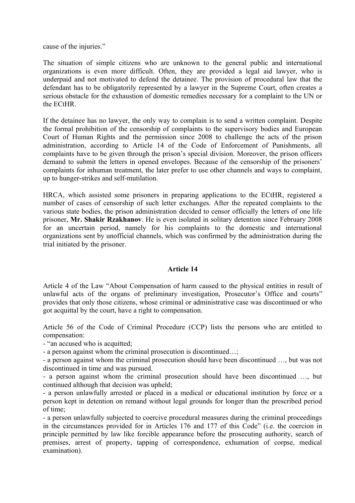cause of the injuries."

The situation of simple citizens who are unknown to the general public and international organizations is even more difficult. Often, they are provided a legal aid lawyer, who is underpaid and not motivated to defend the detainee. The provision of procedural law that the defendant has to be obligatorily represented by a lawyer in the Supreme Court, often creates a serious obstacle for the exhaustion of domestic remedies necessary for a complaint to the UN or the ECtHR.

If the detainee has no lawyer, the only way to complain is to send a written complaint. Despite the formal prohibition of the censorship of complaints to the supervisory bodies and European Court of Human Rights and the permission since 2008 to challenge the acts of the prison administration, according to Article 14 of the Code of Enforcement of Punishments, all complaints have to be given through the prison's special division. Moreover, the prison officers demand to submit the letters in opened envelopes. Because of the censorship of the prisoners' complaints for inhuman treatment, the later prefer to use other channels and ways to complaint, up to hunger-strikes and self-mutilation.

HRCA, which assisted some prisoners in preparing applications to the ECtHR, registered a number of cases of censorship of such letter exchanges. After the repeated complaints to the various state bodies, the prison administration decided to censor officially the letters of one life prisoner, **Mr. Shakir Rzakhanov**. He is even isolated in solitary detention since February 2008 for an uncertain period, namely for his complaints to the domestic and international organizations sent by unofficial channels, which was confirmed by the administration during the trial initiated by the prisoner.

#### **Article 14**

Article 4 of the Law "About Compensation of harm caused to the physical entities in result of unlawful acts of the organs of preliminary investigation, Prosecutor's Office and courts" provides that only those citizens, whose criminal or administrative case was discontinued or who got acquittal by the court, have a right to compensation.

Article 56 of the Code of Criminal Procedure (CCP) lists the persons who are entitled to compensation:

- "an accused who is acquitted;

- a person against whom the criminal prosecution is discontinued…;

- a person against whom the criminal prosecution should have been discontinued …, but was not discontinued in time and was pursued.

- a person against whom the criminal prosecution should have been discontinued …, but continued although that decision was upheld;

- a person unlawfully arrested or placed in a medical or educational institution by force or a person kept in detention on remand without legal grounds for longer than the prescribed period of time;

- a person unlawfully subjected to coercive procedural measures during the criminal proceedings in the circumstances provided for in Articles 176 and 177 of this Code" (i.e. the coercion in principle permitted by law like forcible appearance before the prosecuting authority, search of premises, arrest of property, tapping of correspondence, exhumation of corpse, medical examination).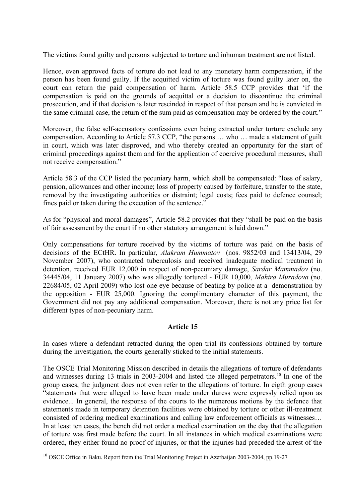The victims found guilty and persons subjected to torture and inhuman treatment are not listed.

Hence, even approved facts of torture do not lead to any monetary harm compensation, if the person has been found guilty. If the acquitted victim of torture was found guilty later on, the court can return the paid compensation of harm. Article 58.5 CCP provides that 'if the compensation is paid on the grounds of acquittal or a decision to discontinue the criminal prosecution, and if that decision is later rescinded in respect of that person and he is convicted in the same criminal case, the return of the sum paid as compensation may be ordered by the court."

Moreover, the false self-accusatory confessions even being extracted under torture exclude any compensation. According to Article 57.3 CCP, "the persons … who … made a statement of guilt in court, which was later disproved, and who thereby created an opportunity for the start of criminal proceedings against them and for the application of coercive procedural measures, shall not receive compensation."

Article 58.3 of the CCP listed the pecuniary harm, which shall be compensated: "loss of salary, pension, allowances and other income; loss of property caused by forfeiture, transfer to the state, removal by the investigating authorities or distraint; legal costs; fees paid to defence counsel; fines paid or taken during the execution of the sentence."

As for "physical and moral damages", Article 58.2 provides that they "shall be paid on the basis of fair assessment by the court if no other statutory arrangement is laid down."

Only compensations for torture received by the victims of torture was paid on the basis of decisions of the ECtHR. In particular, *Alakram Hummatov* (nos. 9852/03 and 13413/04, 29 November 2007), who contracted tuberculosis and received inadequate medical treatment in detention, received EUR 12,000 in respect of non-pecuniary damage, *Sardar Mammadov* (no. 34445/04, 11 January 2007) who was allegedly tortured - EUR 10,000, *Mahira Muradova* (no. 22684/05, 02 April 2009) who lost one eye because of beating by police at a demonstration by the opposition - EUR 25,000. Ignoring the complimentary character of this payment, the Government did not pay any additional compensation. Moreover, there is not any price list for different types of non-pecuniary harm.

# **Article 15**

In cases where a defendant retracted during the open trial its confessions obtained by torture during the investigation, the courts generally sticked to the initial statements.

The OSCE Trial Monitoring Mission described in details the allegations of torture of defendants and witnesses during 13 trials in 2003-2004 and listed the alleged perpetrators.<sup>[10](#page-12-0)</sup> In one of the group cases, the judgment does not even refer to the allegations of torture. In eigth group cases "statements that were alleged to have been made under duress were expressly relied upon as evidence... In general, the response of the courts to the numerous motions by the defence that statements made in temporary detention facilities were obtained by torture or other ill-treatment consisted of ordering medical examinations and calling law enforcement officials as witnesses… In at least ten cases, the bench did not order a medical examination on the day that the allegation of torture was first made before the court. In all instances in which medical examinations were ordered, they either found no proof of injuries, or that the injuries had preceded the arrest of the

<span id="page-12-0"></span><sup>&</sup>lt;sup>10</sup> OSCE Office in Baku. Report from the Trial Monitoring Project in Azerbaijan 2003-2004, pp.19-27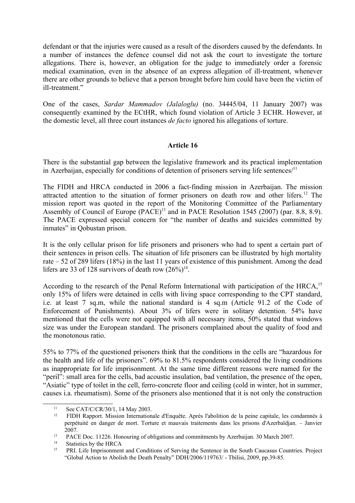defendant or that the injuries were caused as a result of the disorders caused by the defendants. In a number of instances the defence counsel did not ask the court to investigate the torture allegations. There is, however, an obligation for the judge to immediately order a forensic medical examination, even in the absence of an express allegation of ill-treatment, whenever there are other grounds to believe that a person brought before him could have been the victim of ill-treatment."

One of the cases, *Sardar Mammadov (Jalaloglu)* (no. 34445/04, 11 January 2007) was consequently examined by the ECtHR, which found violation of Article 3 ECHR. However, at the domestic level, all three court instances *de facto* ignored his allegations of torture.

## **Article 16**

There is the substantial gap between the legislative framework and its practical implementation in Azerbaijan, especially for conditions of detention of prisoners serving life sentences $/11$  $/11$ 

The FIDH and HRCA conducted in 2006 a fact-finding mission in Azerbaijan. The mission attracted attention to the situation of former prisoners on death row and other lifers.[12](#page-13-1) The mission report was quoted in the report of the Monitoring Committee of the Parliamentary Assembly of Council of Europe (PACE)<sup>[13](#page-13-2)</sup> and in PACE Resolution 1545 (2007) (par. 8.8, 8.9). The PACE expressed special concern for "the number of deaths and suicides committed by inmates" in Qobustan prison.

It is the only cellular prison for life prisoners and prisoners who had to spent a certain part of their sentences in prison cells. The situation of life prisoners can be illustrated by high mortality rate – 52 of 289 lifers (18%) in the last 11 years of existence of this punishment. Among the dead lifers are 33 of 128 survivors of death row  $(26\%)^{14}$  $(26\%)^{14}$  $(26\%)^{14}$ .

According to the research of the Penal Reform International with participation of the HRCA,<sup>[15](#page-13-4)</sup> only 15% of lifers were detained in cells with living space corresponding to the CPT standard, i.e. at least 7 sq.m, while the national standard is 4 sq.m (Article 91.2 of the Code of Enforcement of Punishments). About 3% of lifers were in solitary detention. 54% have mentioned that the cells were not equipped with all necessary items, 50% stated that windows size was under the European standard. The prisoners complained about the quality of food and the monotonous ratio.

55% to 77% of the questioned prisoners think that the conditions in the cells are "hazardous for the health and life of the prisoners". 69% to 81.5% respondents considered the living conditions as inappropriate for life imprisonment. At the same time different reasons were named for the "peril": small area for the cells, bad acoustic insulation, bad ventilation, the presence of the open, "Asiatic" type of toilet in the cell, ferro-concrete floor and ceiling (cold in winter, hot in summer, causes i.a. rheumatism). Some of the prisoners also mentioned that it is not only the construction

<span id="page-13-3"></span><sup>14</sup> Statistics by the HRCA<br><sup>15</sup> **DDL** Life Imprisonment

<span id="page-13-0"></span><sup>&</sup>lt;sup>11</sup> See CAT/C/CR/30/1, 14 May 2003.<br><sup>12</sup> EIDH Rapport Mission Internation

<span id="page-13-1"></span><sup>12</sup> FIDH Rapport. Mission Internationale d'Enquête. Après l'abolition de la peine capitale, les condamnés à perpétuité en danger de mort. Torture et mauvais traitements dans les prisons d'Azerbaïdjan. – Janvier 2007.

<span id="page-13-2"></span><sup>&</sup>lt;sup>13</sup> PACE Doc. 11226. Honouring of obligations and commitments by Azerbaijan. 30 March 2007.

<span id="page-13-4"></span><sup>15</sup> PRI. Life Imprisonment and Conditions of Serving the Sentence in the South Caucasus Countries. Project "Global Action to Abolish the Death Penalty" DDH/2006/119763/ - Tbilisi, 2009, pp.39-85.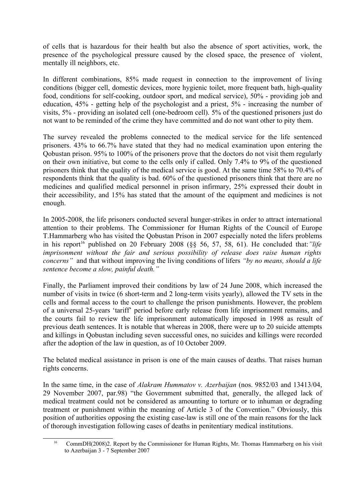of cells that is hazardous for their health but also the absence of sport activities, work, the presence of the psychological pressure caused by the closed space, the presence of violent, mentally ill neighbors, etc.

In different combinations, 85% made request in connection to the improvement of living conditions (bigger cell, domestic devices, more hygienic toilet, more frequent bath, high-quality food, conditions for self-cooking, outdoor sport, and medical service), 50% - providing job and education, 45% - getting help of the psychologist and a priest, 5% - increasing the number of visits, 5% - providing an isolated cell (one-bedroom cell). 5% of the questioned prisoners just do not want to be reminded of the crime they have committed and do not want other to pity them.

The survey revealed the problems connected to the medical service for the life sentenced prisoners. 43% to 66.7% have stated that they had no medical examination upon entering the Qobustan prison. 95% to 100% of the prisoners prove that the doctors do not visit them regularly on their own initiative, but come to the cells only if called. Only 7.4% to 9% of the questioned prisoners think that the quality of the medical service is good. At the same time 58% to 70.4% of respondents think that the quality is bad. 60% of the questioned prisoners think that there are no medicines and qualified medical personnel in prison infirmary, 25% expressed their doubt in their accessibility, and 15% has stated that the amount of the equipment and medicines is not enough.

In 2005-2008, the life prisoners conducted several hunger-strikes in order to attract international attention to their problems. The Commissioner for Human Rights of the Council of Europe T.Hammarberg who has visited the Qobustan Prison in 2007 especially noted the lifers problems in his report<sup>[16](#page-14-0)</sup> published on 20 February 2008 ( $\S$ § 56, 57, 58, 61). He concluded that:*"life imprisonment without the fair and serious possibility of release does raise human rights concerns"* and that without improving the living conditions of lifers *"by no means, should a life sentence become a slow, painful death."* 

Finally, the Parliament improved their conditions by law of 24 June 2008, which increased the number of visits in twice (6 short-term and 2 long-term visits yearly), allowed the TV sets in the cells and formal access to the court to challenge the prison punishments. However, the problem of a universal 25-years 'tariff' period before early release from life imprisonment remains, and the courts fail to review the life imprisonment automatically imposed in 1998 as result of previous death sentences. It is notable that whereas in 2008, there were up to 20 suicide attempts and killings in Qobustan including seven successful ones, no suicides and killings were recorded after the adoption of the law in question, as of 10 October 2009.

The belated medical assistance in prison is one of the main causes of deaths. That raises human rights concerns.

In the same time, in the case of *Alakram Hummatov v. Azerbaijan* (nos. 9852/03 and 13413/04, 29 November 2007, par.98) "the Government submitted that, generally, the alleged lack of medical treatment could not be considered as amounting to torture or to inhuman or degrading treatment or punishment within the meaning of Article 3 of the Convention." Obviously, this position of authorities opposing the existing case-law is still one of the main reasons for the lack of thorough investigation following cases of deaths in penitentiary medical institutions.

<span id="page-14-0"></span><sup>&</sup>lt;sup>16</sup> CommDH(2008)2. Report by the Commissioner for Human Rights, Mr. Thomas Hammarberg on his visit to Azerbaijan 3 - 7 September 2007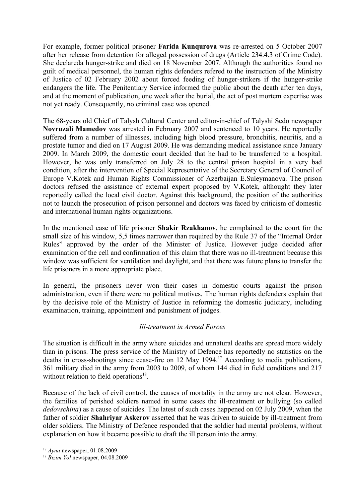For example, former political prisoner **Farida Kunqurova** was re-arrested on 5 October 2007 after her release from detention for alleged possession of drugs (Article 234.4.3 of Crime Code). She declareda hunger-strike and died on 18 November 2007. Although the authorities found no guilt of medical personnel, the human rights defenders refered to the instruction of the Ministry of Justice of 02 February 2002 about forced feeding of hunger-strikers if the hunger-strike endangers the life. The Penitentiary Service informed the public about the death after ten days, and at the moment of publication, one week after the burial, the act of post mortem expertise was not yet ready. Consequently, no criminal case was opened.

The 68-years old Chief of Talysh Cultural Center and editor-in-chief of Talyshi Sedo newspaper **Novruzali Mamedov** was arrested in February 2007 and sentenced to 10 years. He reportedly suffered from a number of illnesses, including high blood pressure, bronchitis, neuritis, and a prostate tumor and died on 17 August 2009. He was demanding medical assistance since January 2009. In March 2009, the domestic court decided that he had to be transferred to a hospital. However, he was only transferred on July 28 to the central prison hospital in a very bad condition, after the intervention of Special Representative of the Secretary General of Council of Europe V.Kotek and Human Rights Commissioner of Azerbaijan E.Suleymanova. The prison doctors refused the assistance of external expert proposed by V.Kotek, althought they later reportedly called the local civil doctor. Against this background, the position of the authorities not to launch the prosecution of prison personnel and doctors was faced by criticism of domestic and international human rights organizations.

In the mentioned case of life prisoner **Shakir Rzakhanov**, he complained to the court for the small size of his window, 5,5 times narrower than required by the Rule 37 of the "Internal Order Rules" approved by the order of the Minister of Justice. However judge decided after examination of the cell and confirmation of this claim that there was no ill-treatment because this window was sufficient for ventilation and daylight, and that there was future plans to transfer the life prisoners in a more appropriate place.

In general, the prisoners never won their cases in domestic courts against the prison administration, even if there were no political motives. The human rights defenders explain that by the decisive role of the Ministry of Justice in reforming the domestic judiciary, including examination, training, appointment and punishment of judges.

# *Ill-treatment in Armed Forces*

The situation is difficult in the army where suicides and unnatural deaths are spread more widely than in prisons. The press service of the Ministry of Defence has reportedly no statistics on the deaths in cross-shootings since cease-fire on 12 May 1994.<sup>[17](#page-15-0)</sup> According to media publications, 361 military died in the army from 2003 to 2009, of whom 144 died in field conditions and 217 without relation to field operations<sup>[18](#page-15-1)</sup>.

Because of the lack of civil control, the causes of mortality in the army are not clear. However, the families of perished soldiers named in some cases the ill-treatment or bullying (so called *dedovschina*) as a cause of suicides. The latest of such cases happened on 02 July 2009, when the father of soldier **Shahriyar Askerov** asserted that he was driven to suicide by ill-treatment from older soldiers. The Ministry of Defence responded that the soldier had mental problems, without explanation on how it became possible to draft the ill person into the army.

<span id="page-15-0"></span><sup>17</sup> *Ayna* newspaper, 01.08.2009

<span id="page-15-1"></span><sup>18</sup> *Bizim Yol* newspaper, 04.08.2009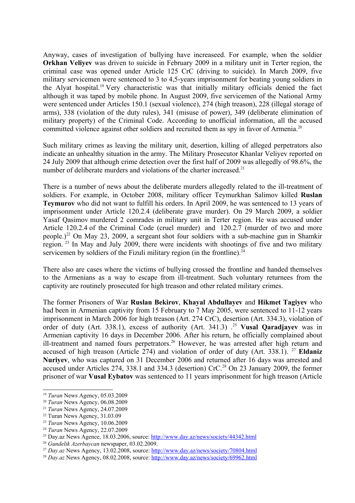Anyway, cases of investigation of bullying have increaseed. For example, when the soldier **Orkhan Velivev** was driven to suicide in February 2009 in a military unit in Terter region, the criminal case was opened under Article 125 CrC (driving to suicide). In March 2009, five military servicemen were sentenced to 3 to 4,5-years imprisonment for beating young soldiers in the Alyat hospital.[19](#page-16-0) Very characteristic was that initially military officials denied the fact although it was taped by mobile phone. In August 2009, five servicemen of the National Army were sentenced under Articles 150.1 (sexual violence), 274 (high treason), 228 (illegal storage of arms), 338 (violation of the duty rules), 341 (misuse of power), 349 (deliberate elimination of military property) of the Criminal Code. According to unofficial information, all the accused committed violence against other soldiers and recruited them as spy in favor of Armenia.<sup>[20](#page-16-1)</sup>

Such military crimes as leaving the military unit, desertion, killing of alleged perpetrators also indicate an unhealthy situation in the army. The Military Prosecutor Khanlar Veliyev reported on 24 July 2009 that although crime detection over the first half of 2009 was allegedly of 98.6%, the number of deliberate murders and violations of the charter increased.<sup>[21](#page-16-2)</sup>

There is a number of news about the deliberate murders allegedly related to the ill-treatment of soldiers. For example, in October 2008, military officer Teymurkhan Salimov killed **Ruslan Teymurov** who did not want to fulfill his orders. In April 2009, he was sentenced to 13 years of imprisonment under Article 120.2.4 (deliberate grave murder). On 29 March 2009, a soldier Yasaf Qasimov murdered 2 comrades in military unit in Terter region. He was accused under Article 120.2.4 of the Criminal Code (cruel murder) and 120.2.7 (murder of two and more people.)<sup>[22](#page-16-3)</sup> On May 23, 2009, a sergeant shot four soldiers with a sub-machine gun in Shamkir region. [23](#page-16-4) In May and July 2009, there were incidents with shootings of five and two military servicemen by soldiers of the Fizuli military region (in the frontline). $^{24}$  $^{24}$  $^{24}$ 

There also are cases where the victims of bullying crossed the frontline and handed themselves to the Armenians as a way to escape from ill-treatment. Such voluntary returnees from the captivity are routinely prosecuted for high treason and other related military crimes.

The former Prisoners of War **Ruslan Bekirov**, **Khayal Abdullayev** and **Hikmet Tagiyev** who had been in Armenian captivity from 15 February to 7 May 2005, were sentenced to 11-12 years imprisonment in March 2006 for high treason (Art. 274 CrC), desertion (Art. 334.3), violation of order of duty (Art. 338.1), excess of authority (Art. 341.3) .[25](#page-16-6) **Vusal Qaradjayev** was in Armenian captivity 16 days in December 2006. After his return, he officially complained about ill-treatment and named fours perpetrators.<sup>[26](#page-16-7)</sup> However, he was arrested after high return and accused of high treason (Article 274) and violation of order of duty (Art. 338.1).<sup>27</sup> **Eldaniz Nuriyev**, who was captured on 31 December 2006 and returned after 16 days was arrested and accused under Articles 274, 338.1 and 334.3 (desertion) CrC.<sup>[28](#page-16-9)</sup> On 23 January 2009, the former prisoner of war **Vusal Eybatov** was sentenced to 11 years imprisonment for high treason (Article

<span id="page-16-0"></span><sup>19</sup> *Turan* News Agency, 05.03.2009

<span id="page-16-1"></span><sup>20</sup> *Turan* News Agency, 06.08.2009

<span id="page-16-2"></span><sup>21</sup> *Turan* News Agency, 24.07.2009

<span id="page-16-3"></span><sup>&</sup>lt;sup>22</sup> Turan News Agency, 31.03.09

<span id="page-16-4"></span><sup>23</sup> *Turan* News Agency, 10.06.2009

<span id="page-16-5"></span><sup>24</sup> *Turan* News Agency, 22.07.2009

<span id="page-16-6"></span><sup>25</sup> Day.az News Agence, 18.03.2006, source:<http://www.day.az/news/society/44342.html>

<span id="page-16-7"></span><sup>26</sup> *Gundelik Azerbaycan* newspaper, 03.02.2009.

<span id="page-16-8"></span><sup>27</sup> *Day.az* News Agency, 13.02.2008, source: <http://www.day.az/news/society/70804.html>

<span id="page-16-9"></span><sup>28</sup> *Day.az* News Agency, 08.02.2008, source:<http://www.day.az/news/society/69962.html>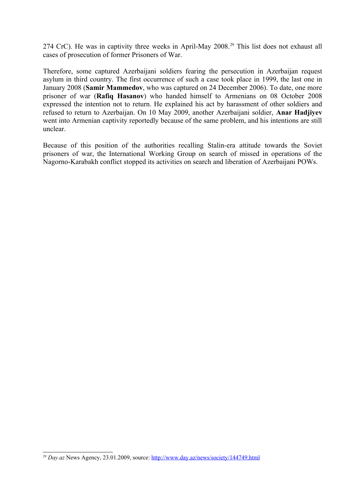274 CrC). He was in captivity three weeks in April-May 2008.<sup>[29](#page-17-0)</sup> This list does not exhaust all cases of prosecution of former Prisoners of War.

Therefore, some captured Azerbaijani soldiers fearing the persecution in Azerbaijan request asylum in third country. The first occurrence of such a case took place in 1999, the last one in January 2008 (**Samir Mammedov**, who was captured on 24 December 2006). To date, one more prisoner of war (**Rafiq Hasanov**) who handed himself to Armenians on 08 October 2008 expressed the intention not to return. He explained his act by harassment of other soldiers and refused to return to Azerbaijan. On 10 May 2009, another Azerbaijani soldier, **Anar Hadjiyev** went into Armenian captivity reportedly because of the same problem, and his intentions are still unclear.

Because of this position of the authorities recalling Stalin-era attitude towards the Soviet prisoners of war, the International Working Group on search of missed in operations of the Nagorno-Karabakh conflict stopped its activities on search and liberation of Azerbaijani POWs.

<span id="page-17-0"></span><sup>29</sup> *Day.az* News Agency, 23.01.2009, source:<http://www.day.az/news/society/144749.html>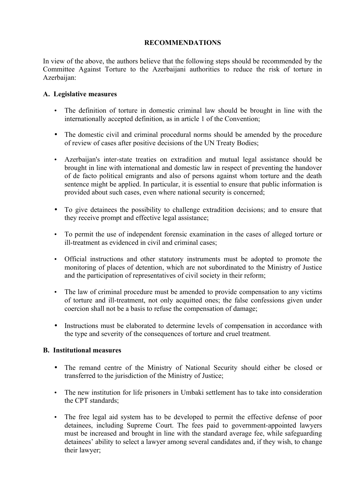## **RECOMMENDATIONS**

In view of the above, the authors believe that the following steps should be recommended by the Committee Against Torture to the Azerbaijani authorities to reduce the risk of torture in Azerbaijan:

## **A. Legislative measures**

- The definition of torture in domestic criminal law should be brought in line with the internationally accepted definition, as in article 1 of the Convention;
- The domestic civil and criminal procedural norms should be amended by the procedure of review of cases after positive decisions of the UN Treaty Bodies;
- Azerbaijan's inter-state treaties on extradition and mutual legal assistance should be brought in line with international and domestic law in respect of preventing the handover of de facto political emigrants and also of persons against whom torture and the death sentence might be applied. In particular, it is essential to ensure that public information is provided about such cases, even where national security is concerned;
- To give detainees the possibility to challenge extradition decisions; and to ensure that they receive prompt and effective legal assistance;
- To permit the use of independent forensic examination in the cases of alleged torture or ill-treatment as evidenced in civil and criminal cases;
- Official instructions and other statutory instruments must be adopted to promote the monitoring of places of detention, which are not subordinated to the Ministry of Justice and the participation of representatives of civil society in their reform;
- The law of criminal procedure must be amended to provide compensation to any victims of torture and ill-treatment, not only acquitted ones; the false confessions given under coercion shall not be a basis to refuse the compensation of damage;
- Instructions must be elaborated to determine levels of compensation in accordance with the type and severity of the consequences of torture and cruel treatment.

# **B. Institutional measures**

- The remand centre of the Ministry of National Security should either be closed or transferred to the jurisdiction of the Ministry of Justice;
- The new institution for life prisoners in Umbaki settlement has to take into consideration the CPT standards;
- The free legal aid system has to be developed to permit the effective defense of poor detainees, including Supreme Court. The fees paid to government-appointed lawyers must be increased and brought in line with the standard average fee, while safeguarding detainees' ability to select a lawyer among several candidates and, if they wish, to change their lawyer;